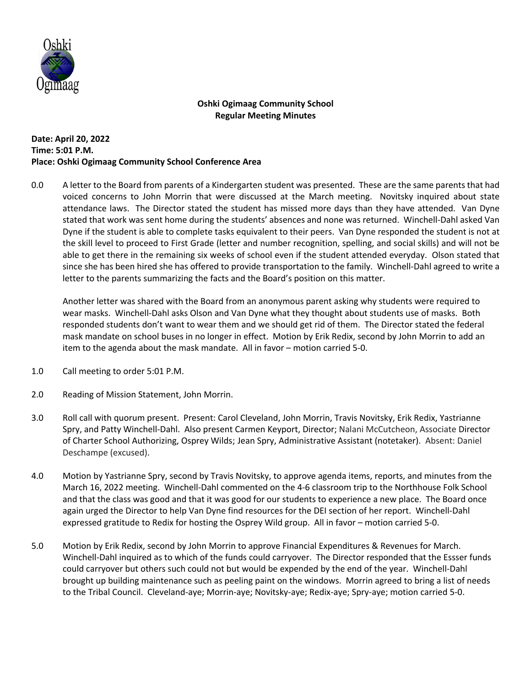

## **Oshki Ogimaag Community School Regular Meeting Minutes**

## **Date: April 20, 2022 Time: 5:01 P.M. Place: Oshki Ogimaag Community School Conference Area**

0.0 A letter to the Board from parents of a Kindergarten student was presented. These are the same parents that had voiced concerns to John Morrin that were discussed at the March meeting. Novitsky inquired about state attendance laws. The Director stated the student has missed more days than they have attended. Van Dyne stated that work was sent home during the students' absences and none was returned. Winchell-Dahl asked Van Dyne if the student is able to complete tasks equivalent to their peers. Van Dyne responded the student is not at the skill level to proceed to First Grade (letter and number recognition, spelling, and social skills) and will not be able to get there in the remaining six weeks of school even if the student attended everyday. Olson stated that since she has been hired she has offered to provide transportation to the family. Winchell-Dahl agreed to write a letter to the parents summarizing the facts and the Board's position on this matter.

Another letter was shared with the Board from an anonymous parent asking why students were required to wear masks. Winchell-Dahl asks Olson and Van Dyne what they thought about students use of masks. Both responded students don't want to wear them and we should get rid of them. The Director stated the federal mask mandate on school buses in no longer in effect. Motion by Erik Redix, second by John Morrin to add an item to the agenda about the mask mandate. All in favor – motion carried 5-0.

- 1.0 Call meeting to order 5:01 P.M.
- 2.0 Reading of Mission Statement, John Morrin.
- 3.0 Roll call with quorum present. Present: Carol Cleveland, John Morrin, Travis Novitsky, Erik Redix, Yastrianne Spry, and Patty Winchell-Dahl. Also present Carmen Keyport, Director; Nalani McCutcheon, Associate Director of Charter School Authorizing, Osprey Wilds; Jean Spry, Administrative Assistant (notetaker). Absent: Daniel Deschampe (excused).
- 4.0 Motion by Yastrianne Spry, second by Travis Novitsky, to approve agenda items, reports, and minutes from the March 16, 2022 meeting. Winchell-Dahl commented on the 4-6 classroom trip to the Northhouse Folk School and that the class was good and that it was good for our students to experience a new place. The Board once again urged the Director to help Van Dyne find resources for the DEI section of her report. Winchell-Dahl expressed gratitude to Redix for hosting the Osprey Wild group. All in favor – motion carried 5-0.
- 5.0 Motion by Erik Redix, second by John Morrin to approve Financial Expenditures & Revenues for March. Winchell-Dahl inquired as to which of the funds could carryover. The Director responded that the Essser funds could carryover but others such could not but would be expended by the end of the year. Winchell-Dahl brought up building maintenance such as peeling paint on the windows. Morrin agreed to bring a list of needs to the Tribal Council. Cleveland-aye; Morrin-aye; Novitsky-aye; Redix-aye; Spry-aye; motion carried 5-0.